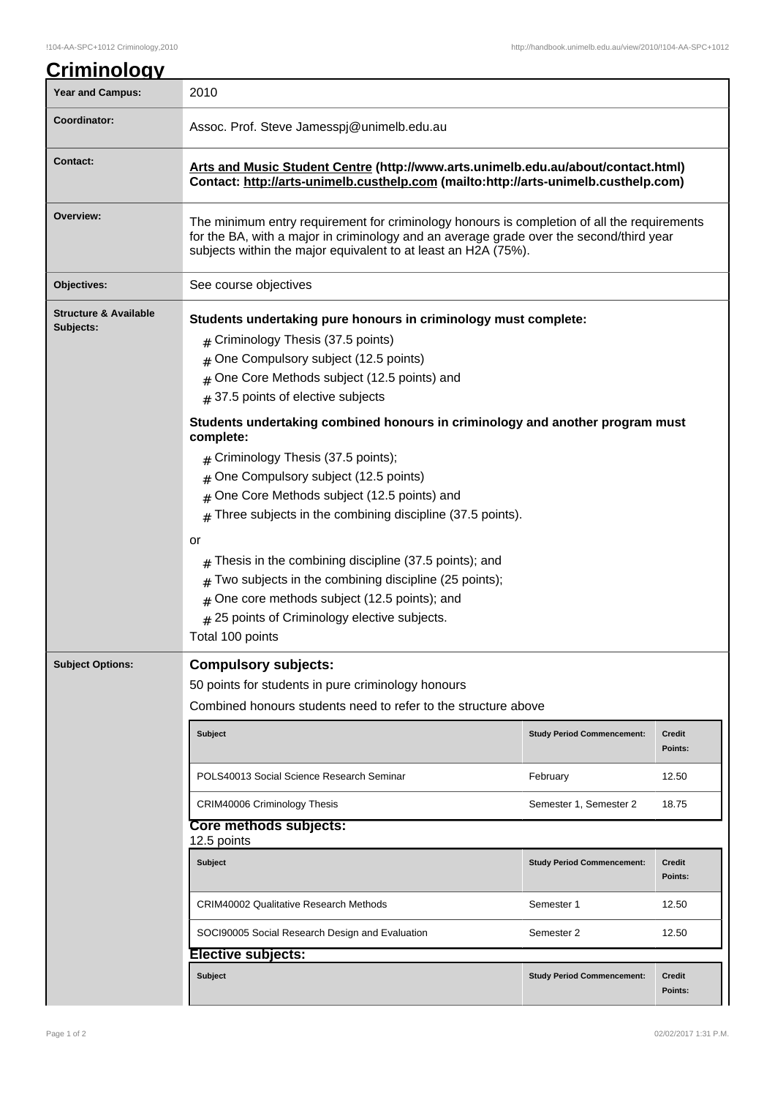| <b>Year and Campus:</b>                       | 2010                                                                                                                                                                                                                                                                                                                                                                                                                                                                                                                                                                                                                                                                                                                                                                                          |                                   |                          |  |
|-----------------------------------------------|-----------------------------------------------------------------------------------------------------------------------------------------------------------------------------------------------------------------------------------------------------------------------------------------------------------------------------------------------------------------------------------------------------------------------------------------------------------------------------------------------------------------------------------------------------------------------------------------------------------------------------------------------------------------------------------------------------------------------------------------------------------------------------------------------|-----------------------------------|--------------------------|--|
| <b>Coordinator:</b>                           | Assoc. Prof. Steve Jamesspj@unimelb.edu.au                                                                                                                                                                                                                                                                                                                                                                                                                                                                                                                                                                                                                                                                                                                                                    |                                   |                          |  |
| <b>Contact:</b>                               | Arts and Music Student Centre (http://www.arts.unimelb.edu.au/about/contact.html)<br>Contact: http://arts-unimelb.custhelp.com (mailto:http://arts-unimelb.custhelp.com)                                                                                                                                                                                                                                                                                                                                                                                                                                                                                                                                                                                                                      |                                   |                          |  |
| Overview:                                     | The minimum entry requirement for criminology honours is completion of all the requirements<br>for the BA, with a major in criminology and an average grade over the second/third year<br>subjects within the major equivalent to at least an H2A (75%).                                                                                                                                                                                                                                                                                                                                                                                                                                                                                                                                      |                                   |                          |  |
| Objectives:                                   | See course objectives                                                                                                                                                                                                                                                                                                                                                                                                                                                                                                                                                                                                                                                                                                                                                                         |                                   |                          |  |
| <b>Structure &amp; Available</b><br>Subjects: | Students undertaking pure honours in criminology must complete:<br># Criminology Thesis (37.5 points)<br>One Compulsory subject (12.5 points)<br>#<br>One Core Methods subject (12.5 points) and<br>37.5 points of elective subjects<br>#<br>Students undertaking combined honours in criminology and another program must<br>complete:<br>Criminology Thesis (37.5 points);<br>One Compulsory subject (12.5 points)<br>#<br>One Core Methods subject (12.5 points) and<br>Three subjects in the combining discipline (37.5 points).<br>#<br>or<br>Thesis in the combining discipline (37.5 points); and<br>#<br>Two subjects in the combining discipline (25 points);<br>#<br>One core methods subject (12.5 points); and<br>25 points of Criminology elective subjects.<br>Total 100 points |                                   |                          |  |
| <b>Subject Options:</b>                       | <b>Compulsory subjects:</b><br>50 points for students in pure criminology honours<br>Combined honours students need to refer to the structure above                                                                                                                                                                                                                                                                                                                                                                                                                                                                                                                                                                                                                                           |                                   |                          |  |
|                                               | Subject                                                                                                                                                                                                                                                                                                                                                                                                                                                                                                                                                                                                                                                                                                                                                                                       | <b>Study Period Commencement:</b> | <b>Credit</b><br>Points: |  |
|                                               | POLS40013 Social Science Research Seminar                                                                                                                                                                                                                                                                                                                                                                                                                                                                                                                                                                                                                                                                                                                                                     | February                          | 12.50                    |  |
|                                               | <b>CRIM40006 Criminology Thesis</b>                                                                                                                                                                                                                                                                                                                                                                                                                                                                                                                                                                                                                                                                                                                                                           | Semester 1, Semester 2            | 18.75                    |  |
|                                               | Core methods subjects:<br>12.5 points                                                                                                                                                                                                                                                                                                                                                                                                                                                                                                                                                                                                                                                                                                                                                         |                                   |                          |  |
|                                               | <b>Subject</b>                                                                                                                                                                                                                                                                                                                                                                                                                                                                                                                                                                                                                                                                                                                                                                                | <b>Study Period Commencement:</b> | <b>Credit</b><br>Points: |  |
|                                               | <b>CRIM40002 Qualitative Research Methods</b>                                                                                                                                                                                                                                                                                                                                                                                                                                                                                                                                                                                                                                                                                                                                                 | Semester 1                        | 12.50                    |  |
|                                               | SOCI90005 Social Research Design and Evaluation                                                                                                                                                                                                                                                                                                                                                                                                                                                                                                                                                                                                                                                                                                                                               | Semester 2                        | 12.50                    |  |
|                                               | <b>Elective subjects:</b>                                                                                                                                                                                                                                                                                                                                                                                                                                                                                                                                                                                                                                                                                                                                                                     |                                   |                          |  |
|                                               | Subject                                                                                                                                                                                                                                                                                                                                                                                                                                                                                                                                                                                                                                                                                                                                                                                       | <b>Study Period Commencement:</b> | <b>Credit</b><br>Points: |  |